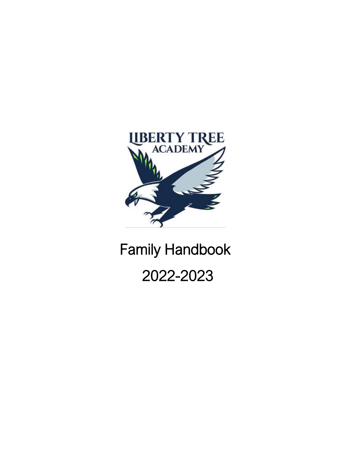

# Family Handbook

2022-2023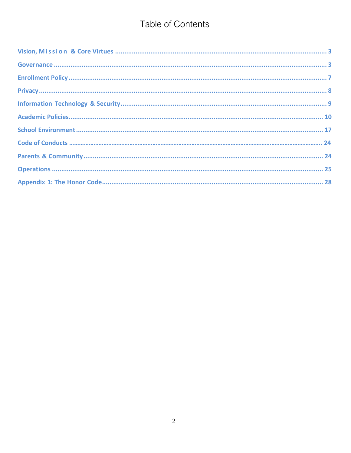# **Table of Contents**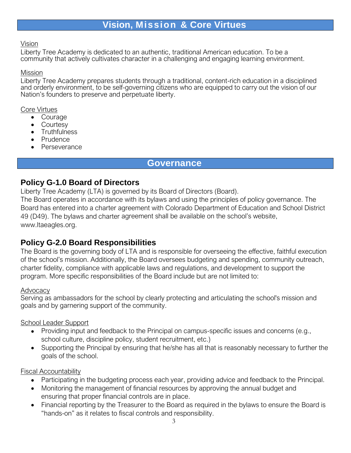#### Vision

Liberty Tree Academy is dedicated to an authentic, traditional American education. To be a community that actively cultivates character in a challenging and engaging learning environment.

#### Mission

Liberty Tree Academy prepares students through a traditional, content-rich education in a disciplined and orderly environment, to be self-governing citizens who are equipped to carry out the vision of our Nation's founders to preserve and perpetuate liberty.

#### Core Virtues

- Courage
- **Courtesy**
- **Truthfulness**
- Prudence
- **Perseverance**

#### **Governance**

#### **Policy G-1.0 Board of Directors**

Liberty Tree Academy (LTA) is governed by its Board of Directors (Board). The Board operates in accordance with its bylaws and using the principles of policy governance. The Board has entered into a charter agreement with Colorado Department of Education and School District 49 (D49). The bylaws and charter agreement shall be available on the school's website, www.ltaeagles.org.

# **Policy G-2.0 Board Responsibilities**

The Board is the governing body of LTA and is responsible for overseeing the effective, faithful execution of the school's mission. Additionally, the Board oversees budgeting and spending, community outreach, charter fidelity, compliance with applicable laws and regulations, and development to support the program. More specific responsibilities of the Board include but are not limited to:

#### Advocacy

Serving as ambassadors for the school by clearly protecting and articulating the school's mission and goals and by garnering support of the community.

#### School Leader Support

- Providing input and feedback to the Principal on campus-specific issues and concerns (e.g., school culture, discipline policy, student recruitment, etc.)
- Supporting the Principal by ensuring that he/she has all that is reasonably necessary to further the goals of the school.

#### Fiscal Accountability

- Participating in the budgeting process each year, providing advice and feedback to the Principal.
- Monitoring the management of financial resources by approving the annual budget and ensuring that proper financial controls are in place.
- Financial reporting by the Treasurer to the Board as required in the bylaws to ensure the Board is "hands-on" as it relates to fiscal controls and responsibility.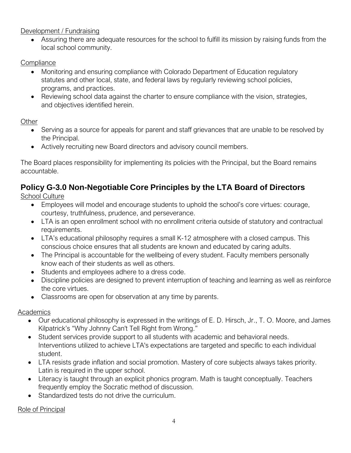Development / Fundraising

• Assuring there are adequate resources for the school to fulfill its mission by raising funds from the local school community.

#### **Compliance**

- Monitoring and ensuring compliance with Colorado Department of Education regulatory statutes and other local, state, and federal laws by regularly reviewing school policies, programs, and practices.
- Reviewing school data against the charter to ensure compliance with the vision, strategies, and objectives identified herein.

#### Other

- Serving as a source for appeals for parent and staff grievances that are unable to be resolved by the Principal.
- Actively recruiting new Board directors and advisory council members.

The Board places responsibility for implementing its policies with the Principal, but the Board remains accountable.

# **Policy G-3.0 Non-Negotiable Core Principles by the LTA Board of Directors**

School Culture

- Employees will model and encourage students to uphold the school's core virtues: courage, courtesy, truthfulness, prudence, and perseverance.
- LTA is an open enrollment school with no enrollment criteria outside of statutory and contractual requirements.
- LTA's educational philosophy requires a small K-12 atmosphere with a closed campus. This conscious choice ensures that all students are known and educated by caring adults.
- The Principal is accountable for the wellbeing of every student. Faculty members personally know each of their students as well as others.
- Students and employees adhere to a dress code.
- Discipline policies are designed to prevent interruption of teaching and learning as well as reinforce the core virtues.
- Classrooms are open for observation at any time by parents.

#### Academics

- Our educational philosophy is expressed in the writings of E. D. Hirsch, Jr., T. O. Moore, and James Kilpatrick's "Why Johnny Can't Tell Right from Wrong."
- Student services provide support to all students with academic and behavioral needs. Interventions utilized to achieve LTA's expectations are targeted and specific to each individual student.
- LTA resists grade inflation and social promotion. Mastery of core subjects always takes priority. Latin is required in the upper school.
- Literacy is taught through an explicit phonics program. Math is taught conceptually. Teachers frequently employ the Socratic method of discussion.
- Standardized tests do not drive the curriculum.

Role of Principal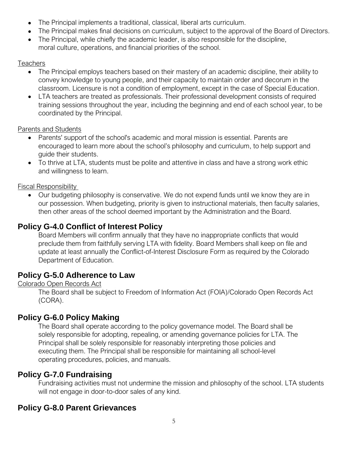- The Principal implements a traditional, classical, liberal arts curriculum.
- The Principal makes final decisions on curriculum, subject to the approval of the Board of Directors.
- The Principal, while chiefly the academic leader, is also responsible for the discipline, moral culture, operations, and financial priorities of the school.

#### Teachers

- The Principal employs teachers based on their mastery of an academic discipline, their ability to convey knowledge to young people, and their capacity to maintain order and decorum in the classroom. Licensure is not a condition of employment, except in the case of Special Education.
- LTA teachers are treated as professionals. Their professional development consists of required training sessions throughout the year, including the beginning and end of each school year, to be coordinated by the Principal.

#### Parents and Students

- Parents' support of the school's academic and moral mission is essential. Parents are encouraged to learn more about the school's philosophy and curriculum, to help support and guide their students.
- To thrive at LTA, students must be polite and attentive in class and have a strong work ethic and willingness to learn.

#### Fiscal Responsibility

• Our budgeting philosophy is conservative. We do not expend funds until we know they are in our possession. When budgeting, priority is given to instructional materials, then faculty salaries, then other areas of the school deemed important by the Administration and the Board.

## **Policy G-4.0 Conflict of Interest Policy**

Board Members will confirm annually that they have no inappropriate conflicts that would preclude them from faithfully serving LTA with fidelity. Board Members shall keep on file and update at least annually the Conflict-of-Interest Disclosure Form as required by the Colorado Department of Education.

## **Policy G-5.0 Adherence to Law**

#### Colorado Open Records Act

The Board shall be subject to Freedom of Information Act (FOIA)/Colorado Open Records Act (CORA).

## **Policy G-6.0 Policy Making**

The Board shall operate according to the policy governance model. The Board shall be solely responsible for adopting, repealing, or amending governance policies for LTA. The Principal shall be solely responsible for reasonably interpreting those policies and executing them. The Principal shall be responsible for maintaining all school-level operating procedures, policies, and manuals.

## **Policy G-7.0 Fundraising**

Fundraising activities must not undermine the mission and philosophy of the school. LTA students will not engage in door-to-door sales of any kind.

#### **Policy G-8.0 Parent Grievances**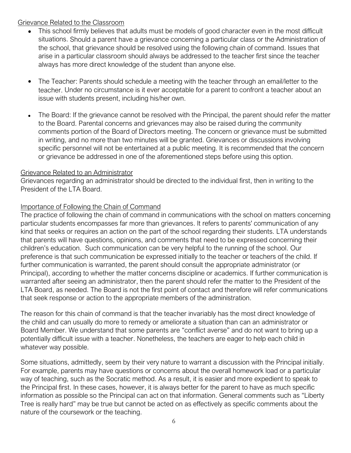#### Grievance Related to the Classroom

- This school firmly believes that adults must be models of good character even in the most difficult situations. Should a parent have a grievance concerning a particular class or the Administration of the school, that grievance should be resolved using the following chain of command. Issues that arise in a particular classroom should always be addressed to the teacher first since the teacher always has more direct knowledge of the student than anyone else.
- The Teacher: Parents should schedule a meeting with the teacher through an email/letter to the teacher. Under no circumstance is it ever acceptable for a parent to confront a teacher about an issue with students present, including his/her own.
- The Board: If the grievance cannot be resolved with the Principal, the parent should refer the matter to the Board. Parental concerns and grievances may also be raised during the community comments portion of the Board of Directors meeting. The concern or grievance must be submitted in writing, and no more than two minutes will be granted. Grievances or discussions involving specific personnel will not be entertained at a public meeting. It is recommended that the concern or grievance be addressed in one of the aforementioned steps before using this option.

#### Grievance Related to an Administrator

Grievances regarding an administrator should be directed to the individual first, then in writing to the President of the LTA Board.

#### Importance of Following the Chain of Command

The practice of following the chain of command in communications with the school on matters concerning particular students encompasses far more than grievances. It refers to parents' communication of any kind that seeks or requires an action on the part of the school regarding their students. LTA understands that parents will have questions, opinions, and comments that need to be expressed concerning their children's education. Such communication can be very helpful to the running of the school. Our preference is that such communication be expressed initially to the teacher or teachers of the child. If further communication is warranted, the parent should consult the appropriate administrator (or Principal), according to whether the matter concerns discipline or academics. If further communication is warranted after seeing an administrator, then the parent should refer the matter to the President of the LTA Board, as needed. The Board is not the first point of contact and therefore will refer communications that seek response or action to the appropriate members of the administration.

The reason for this chain of command is that the teacher invariably has the most direct knowledge of the child and can usually do more to remedy or ameliorate a situation than can an administrator or Board Member. We understand that some parents are "conflict averse" and do not want to bring up a potentially difficult issue with a teacher. Nonetheless, the teachers are eager to help each child in whatever way possible.

Some situations, admittedly, seem by their very nature to warrant a discussion with the Principal initially. For example, parents may have questions or concerns about the overall homework load or a particular way of teaching, such as the Socratic method. As a result, it is easier and more expedient to speak to the Principal first. In these cases, however, it is always better for the parent to have as much specific information as possible so the Principal can act on that information. General comments such as "Liberty Tree is really hard" may be true but cannot be acted on as effectively as specific comments about the nature of the coursework or the teaching.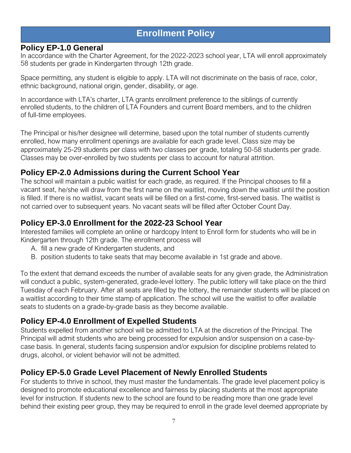# **Enrollment Policy**

#### **Policy EP-1.0 General**

In accordance with the Charter Agreement, for the 2022-2023 school year, LTA will enroll approximately 58 students per grade in Kindergarten through 12th grade.

Space permitting, any student is eligible to apply. LTA will not discriminate on the basis of race, color, ethnic background, national origin, gender, disability, or age.

In accordance with LTA's charter, LTA grants enrollment preference to the siblings of currently enrolled students, to the children of LTA Founders and current Board members, and to the children of full-time employees.

The Principal or his/her designee will determine, based upon the total number of students currently enrolled, how many enrollment openings are available for each grade level. Class size may be approximately 25-29 students per class with two classes per grade, totaling 50-58 students per grade. Classes may be over-enrolled by two students per class to account for natural attrition.

## **Policy EP-2.0 Admissions during the Current School Year**

The school will maintain a public waitlist for each grade, as required. If the Principal chooses to fill a vacant seat, he/she will draw from the first name on the waitlist, moving down the waitlist until the position is filled. If there is no waitlist, vacant seats will be filled on a first-come, first-served basis. The waitlist is not carried over to subsequent years. No vacant seats will be filled after October Count Day.

### **Policy EP-3.0 Enrollment for the 2022-23 School Year**

Interested families will complete an online or hardcopy Intent to Enroll form for students who will be in Kindergarten through 12th grade. The enrollment process will

- A. fill a new grade of Kindergarten students, and
- B. position students to take seats that may become available in 1st grade and above.

To the extent that demand exceeds the number of available seats for any given grade, the Administration will conduct a public, system-generated, grade-level lottery. The public lottery will take place on the third Tuesday of each February. After all seats are filled by the lottery, the remainder students will be placed on a waitlist according to their time stamp of application. The school will use the waitlist to offer available seats to students on a grade-by-grade basis as they become available.

#### **Policy EP-4.0 Enrollment of Expelled Students**

Students expelled from another school will be admitted to LTA at the discretion of the Principal. The Principal will admit students who are being processed for expulsion and/or suspension on a case-bycase basis. In general, students facing suspension and/or expulsion for discipline problems related to drugs, alcohol, or violent behavior will not be admitted.

#### **Policy EP-5.0 Grade Level Placement of Newly Enrolled Students**

For students to thrive in school, they must master the fundamentals. The grade level placement policy is designed to promote educational excellence and fairness by placing students at the most appropriate level for instruction. If students new to the school are found to be reading more than one grade level behind their existing peer group, they may be required to enroll in the grade level deemed appropriate by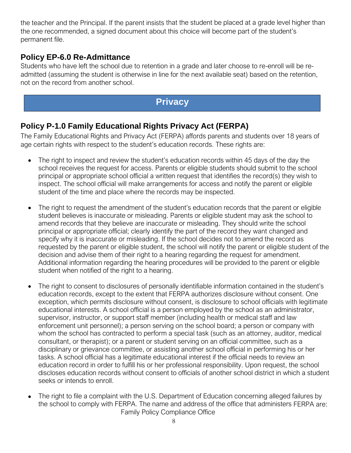the teacher and the Principal. If the parent insists that the student be placed at a grade level higher than the one recommended, a signed document about this choice will become part of the student's permanent file.

## **Policy EP-6.0 Re-Admittance**

Students who have left the school due to retention in a grade and later choose to re-enroll will be readmitted (assuming the student is otherwise in line for the next available seat) based on the retention, not on the record from another school.

# **Privacy**

# **Policy P-1.0 Family Educational Rights Privacy Act (FERPA)**

The Family Educational Rights and Privacy Act (FERPA) affords parents and students over 18 years of age certain rights with respect to the student's education records. These rights are:

- The right to inspect and review the student's education records within 45 days of the day the school receives the request for access. Parents or eligible students should submit to the school principal or appropriate school official a written request that identifies the record(s) they wish to inspect. The school official will make arrangements for access and notify the parent or eligible student of the time and place where the records may be inspected.
- The right to request the amendment of the student's education records that the parent or eligible student believes is inaccurate or misleading. Parents or eligible student may ask the school to amend records that they believe are inaccurate or misleading. They should write the school principal or appropriate official; clearly identify the part of the record they want changed and specify why it is inaccurate or misleading. If the school decides not to amend the record as requested by the parent or eligible student, the school will notify the parent or eligible student of the decision and advise them of their right to a hearing regarding the request for amendment. Additional information regarding the hearing procedures will be provided to the parent or eligible student when notified of the right to a hearing.
- The right to consent to disclosures of personally identifiable information contained in the student's education records, except to the extent that FERPA authorizes disclosure without consent. One exception, which permits disclosure without consent, is disclosure to school officials with legitimate educational interests. A school official is a person employed by the school as an administrator, supervisor, instructor, or support staff member (including health or medical staff and law enforcement unit personnel); a person serving on the school board; a person or company with whom the school has contracted to perform a special task (such as an attorney, auditor, medical consultant, or therapist); or a parent or student serving on an official committee, such as a disciplinary or grievance committee, or assisting another school official in performing his or her tasks. A school official has a legitimate educational interest if the official needs to review an education record in order to fulfill his or her professional responsibility. Upon request, the school discloses education records without consent to officials of another school district in which a student seeks or intends to enroll.
- The right to file a complaint with the U.S. Department of Education concerning alleged failures by the school to comply with FERPA. The name and address of the office that administers FERPA are: Family Policy Compliance Office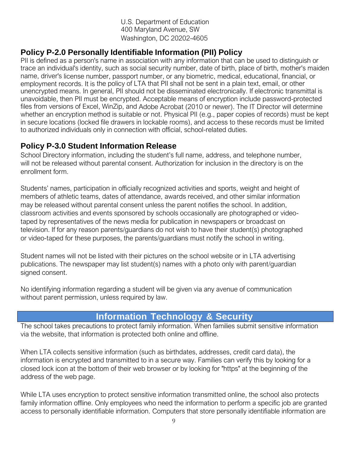U.S. Department of Education 400 Maryland Avenue, SW Washington, DC 20202-4605

#### **Policy P-2.0 Personally Identifiable Information (PII) Policy**

PII is defined as a person's name in association with any information that can be used to distinguish or trace an individual's identity, such as social security number, date of birth, place of birth, mother's maiden name, driver's license number, passport number, or any biometric, medical, educational, financial, or employment records. It is the policy of LTA that PII shall not be sent in a plain text, email, or other unencrypted means. In general, PII should not be disseminated electronically. If electronic transmittal is unavoidable, then PII must be encrypted. Acceptable means of encryption include password-protected files from versions of Excel, WinZip, and Adobe Acrobat (2010 or newer). The IT Director will determine whether an encryption method is suitable or not. Physical PII (e.g., paper copies of records) must be kept in secure locations (locked file drawers in lockable rooms), and access to these records must be limited to authorized individuals only in connection with official, school-related duties.

#### **Policy P-3.0 Student Information Release**

School Directory information, including the student's full name, address, and telephone number, will not be released without parental consent. Authorization for inclusion in the directory is on the enrollment form.

Students' names, participation in officially recognized activities and sports, weight and height of members of athletic teams, dates of attendance, awards received, and other similar information may be released without parental consent unless the parent notifies the school. In addition, classroom activities and events sponsored by schools occasionally are photographed or videotaped by representatives of the news media for publication in newspapers or broadcast on television. If for any reason parents/guardians do not wish to have their student(s) photographed or video-taped for these purposes, the parents/guardians must notify the school in writing.

Student names will not be listed with their pictures on the school website or in LTA advertising publications. The newspaper may list student(s) names with a photo only with parent/guardian signed consent.

No identifying information regarding a student will be given via any avenue of communication without parent permission, unless required by law.

# **Information Technology & Security**

The school takes precautions to protect family information. When families submit sensitive information via the website, that information is protected both online and offline.

When LTA collects sensitive information (such as birthdates, addresses, credit card data), the information is encrypted and transmitted to in a secure way. Families can verify this by looking for a closed lock icon at the bottom of their web browser or by looking for "https" at the beginning of the address of the web page.

While LTA uses encryption to protect sensitive information transmitted online, the school also protects family information offline. Only employees who need the information to perform a specific job are granted access to personally identifiable information. Computers that store personally identifiable information are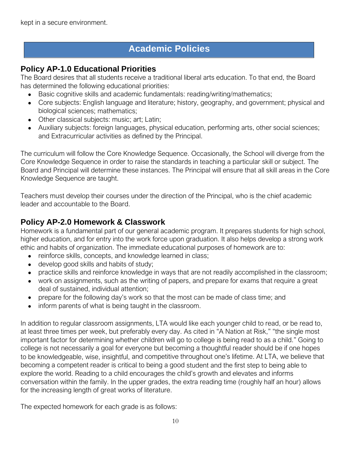kept in a secure environment.

# **Academic Policies**

## **Policy AP-1.0 Educational Priorities**

The Board desires that all students receive a traditional liberal arts education. To that end, the Board has determined the following educational priorities:

- Basic cognitive skills and academic fundamentals: reading/writing/mathematics;
- Core subjects: English language and literature; history, geography, and government; physical and biological sciences; mathematics;
- Other classical subjects: music; art; Latin;
- Auxiliary subjects: foreign languages, physical education, performing arts, other social sciences; and Extracurricular activities as defined by the Principal.

The curriculum will follow the Core Knowledge Sequence. Occasionally, the School will diverge from the Core Knowledge Sequence in order to raise the standards in teaching a particular skill or subject. The Board and Principal will determine these instances. The Principal will ensure that all skill areas in the Core Knowledge Sequence are taught.

Teachers must develop their courses under the direction of the Principal, who is the chief academic leader and accountable to the Board.

## **Policy AP-2.0 Homework & Classwork**

Homework is a fundamental part of our general academic program. It prepares students for high school, higher education, and for entry into the work force upon graduation. It also helps develop a strong work ethic and habits of organization. The immediate educational purposes of homework are to:

- reinforce skills, concepts, and knowledge learned in class;
- develop good skills and habits of study;
- practice skills and reinforce knowledge in ways that are not readily accomplished in the classroom;
- work on assignments, such as the writing of papers, and prepare for exams that require a great deal of sustained, individual attention;
- prepare for the following day's work so that the most can be made of class time; and
- inform parents of what is being taught in the classroom.

In addition to regular classroom assignments, LTA would like each younger child to read, or be read to, at least three times per week, but preferably every day. As cited in "A Nation at Risk," "the single most important factor for determining whether children will go to college is being read to as a child." Going to college is not necessarily a goal for everyone but becoming a thoughtful reader should be if one hopes to be knowledgeable, wise, insightful, and competitive throughout one's lifetime. At LTA, we believe that becoming a competent reader is critical to being a good student and the first step to being able to explore the world. Reading to a child encourages the child's growth and elevates and informs conversation within the family. In the upper grades, the extra reading time (roughly half an hour) allows for the increasing length of great works of literature.

The expected homework for each grade is as follows: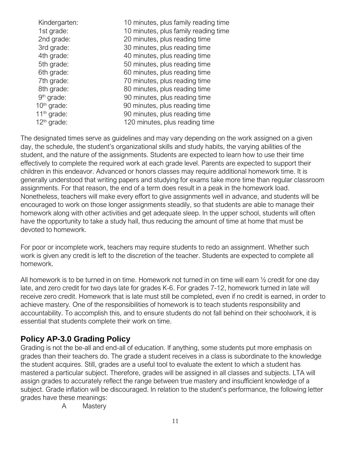Kindergarten: 10 minutes, plus family reading time 1st grade: 10 minutes, plus family reading time 2nd grade: 20 minutes, plus reading time 3rd grade: 30 minutes, plus reading time 4th grade: 40 minutes, plus reading time 5th grade: 50 minutes, plus reading time 6th grade: 60 minutes, plus reading time 7th grade: 70 minutes, plus reading time 8th grade: 80 minutes, plus reading time 9<sup>th</sup> grade: 90 minutes, plus reading time 10<sup>th</sup> grade: 90 minutes, plus reading time 11<sup>th</sup> grade: 90 minutes, plus reading time 12<sup>th</sup> grade: 120 minutes, plus reading time

The designated times serve as guidelines and may vary depending on the work assigned on a given day, the schedule, the student's organizational skills and study habits, the varying abilities of the student, and the nature of the assignments. Students are expected to learn how to use their time effectively to complete the required work at each grade level. Parents are expected to support their children in this endeavor. Advanced or honors classes may require additional homework time. It is generally understood that writing papers and studying for exams take more time than regular classroom assignments. For that reason, the end of a term does result in a peak in the homework load. Nonetheless, teachers will make every effort to give assignments well in advance, and students will be encouraged to work on those longer assignments steadily, so that students are able to manage their homework along with other activities and get adequate sleep. In the upper school, students will often have the opportunity to take a study hall, thus reducing the amount of time at home that must be devoted to homework.

For poor or incomplete work, teachers may require students to redo an assignment. Whether such work is given any credit is left to the discretion of the teacher. Students are expected to complete all homework.

All homework is to be turned in on time. Homework not turned in on time will earn ½ credit for one day late, and zero credit for two days late for grades K-6. For grades 7-12, homework turned in late will receive zero credit. Homework that is late must still be completed, even if no credit is earned, in order to achieve mastery. One of the responsibilities of homework is to teach students responsibility and accountability. To accomplish this, and to ensure students do not fall behind on their schoolwork, it is essential that students complete their work on time.

# **Policy AP-3.0 Grading Policy**

Grading is not the be-all and end-all of education. If anything, some students put more emphasis on grades than their teachers do. The grade a student receives in a class is subordinate to the knowledge the student acquires. Still, grades are a useful tool to evaluate the extent to which a student has mastered a particular subject. Therefore, grades will be assigned in all classes and subjects. LTA will assign grades to accurately reflect the range between true mastery and insufficient knowledge of a subject. Grade inflation will be discouraged. In relation to the student's performance, the following letter grades have these meanings:

A Mastery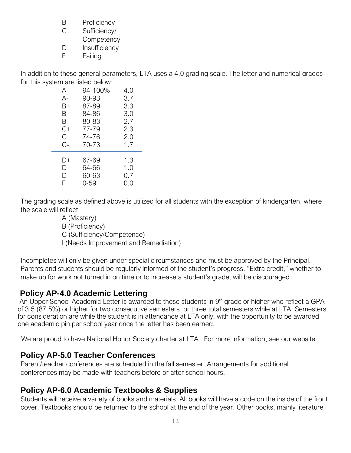- B Proficiency
- C Sufficiency/
- **Competency**
- D Insufficiency
- F Failing

In addition to these general parameters, LTA uses a 4.0 grading scale. The letter and numerical grades for this system are listed below:

| А    | 94-100%  | 4.0 |
|------|----------|-----|
| А-   | 90-93    | 3.7 |
| B+   | 87-89    | 3.3 |
| B    | 84-86    | 3.0 |
| В-   | 80-83    | 2.7 |
| $C+$ | 77-79    | 2.3 |
| C.   | 74-76    | 2.0 |
| C-   | 70-73    | 1.7 |
| D+   | 67-69    | 1.3 |
| D    | 64-66    | 1.0 |
| D-   | 60-63    | 0.7 |
| F    | $0 - 59$ | 0.0 |

The grading scale as defined above is utilized for all students with the exception of kindergarten, where the scale will reflect

> A (Mastery) B (Proficiency) C (Sufficiency/Competence) I (Needs Improvement and Remediation).

Incompletes will only be given under special circumstances and must be approved by the Principal. Parents and students should be regularly informed of the student's progress. "Extra credit," whether to make up for work not turned in on time or to increase a student's grade, will be discouraged.

# **Policy AP-4.0 Academic Lettering**

An Upper School Academic Letter is awarded to those students in 9<sup>th</sup> grade or higher who reflect a GPA of 3.5 (87.5%) or higher for two consecutive semesters, or three total semesters while at LTA. Semesters for consideration are while the student is in attendance at LTA only, with the opportunity to be awarded one academic pin per school year once the letter has been earned.

We are proud to have National Honor Society charter at LTA. For more information, see our website.

# **Policy AP-5.0 Teacher Conferences**

Parent/teacher conferences are scheduled in the fall semester. Arrangements for additional conferences may be made with teachers before or after school hours.

## **Policy AP-6.0 Academic Textbooks & Supplies**

Students will receive a variety of books and materials. All books will have a code on the inside of the front cover. Textbooks should be returned to the school at the end of the year. Other books, mainly literature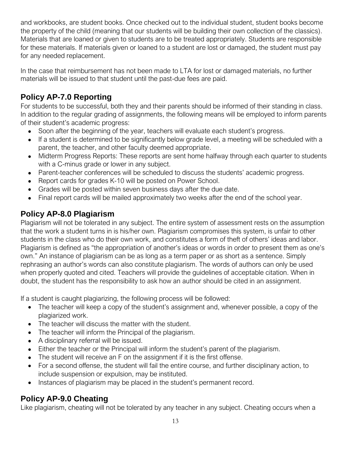and workbooks, are student books. Once checked out to the individual student, student books become the property of the child (meaning that our students will be building their own collection of the classics). Materials that are loaned or given to students are to be treated appropriately. Students are responsible for these materials. If materials given or loaned to a student are lost or damaged, the student must pay for any needed replacement.

In the case that reimbursement has not been made to LTA for lost or damaged materials, no further materials will be issued to that student until the past-due fees are paid.

# **Policy AP-7.0 Reporting**

For students to be successful, both they and their parents should be informed of their standing in class. In addition to the regular grading of assignments, the following means will be employed to inform parents of their student's academic progress:

- Soon after the beginning of the year, teachers will evaluate each student's progress.
- If a student is determined to be significantly below grade level, a meeting will be scheduled with a parent, the teacher, and other faculty deemed appropriate.
- Midterm Progress Reports: These reports are sent home halfway through each quarter to students with a C-minus grade or lower in any subject.
- Parent-teacher conferences will be scheduled to discuss the students' academic progress.
- Report cards for grades K-10 will be posted on Power School.
- Grades will be posted within seven business days after the due date.
- Final report cards will be mailed approximately two weeks after the end of the school year.

# **Policy AP-8.0 Plagiarism**

Plagiarism will not be tolerated in any subject. The entire system of assessment rests on the assumption that the work a student turns in is his/her own. Plagiarism compromises this system, is unfair to other students in the class who do their own work, and constitutes a form of theft of others' ideas and labor. Plagiarism is defined as "the appropriation of another's ideas or words in order to present them as one's own." An instance of plagiarism can be as long as a term paper or as short as a sentence. Simply rephrasing an author's words can also constitute plagiarism. The words of authors can only be used when properly quoted and cited. Teachers will provide the guidelines of acceptable citation. When in doubt, the student has the responsibility to ask how an author should be cited in an assignment.

If a student is caught plagiarizing, the following process will be followed:

- The teacher will keep a copy of the student's assignment and, whenever possible, a copy of the plagiarized work.
- The teacher will discuss the matter with the student.
- The teacher will inform the Principal of the plagiarism.
- A disciplinary referral will be issued.
- Either the teacher or the Principal will inform the student's parent of the plagiarism.
- The student will receive an F on the assignment if it is the first offense.
- For a second offense, the student will fail the entire course, and further disciplinary action, to include suspension or expulsion, may be instituted.
- Instances of plagiarism may be placed in the student's permanent record.

# **Policy AP-9.0 Cheating**

Like plagiarism, cheating will not be tolerated by any teacher in any subject. Cheating occurs when a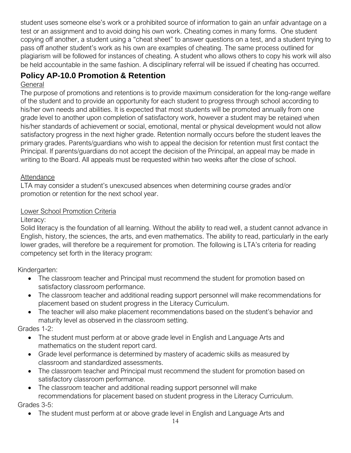student uses someone else's work or a prohibited source of information to gain an unfair advantage on a test or an assignment and to avoid doing his own work. Cheating comes in many forms. One student copying off another, a student using a "cheat sheet" to answer questions on a test, and a student trying to pass off another student's work as his own are examples of cheating. The same process outlined for plagiarism will be followed for instances of cheating. A student who allows others to copy his work will also be held accountable in the same fashion. A disciplinary referral will be issued if cheating has occurred.

# **Policy AP-10.0 Promotion & Retention**

#### **General**

The purpose of promotions and retentions is to provide maximum consideration for the long-range welfare of the student and to provide an opportunity for each student to progress through school according to his/her own needs and abilities. It is expected that most students will be promoted annually from one grade level to another upon completion of satisfactory work, however a student may be retained when his/her standards of achievement or social, emotional, mental or physical development would not allow satisfactory progress in the next higher grade. Retention normally occurs before the student leaves the primary grades. Parents/guardians who wish to appeal the decision for retention must first contact the Principal. If parents/guardians do not accept the decision of the Principal, an appeal may be made in writing to the Board. All appeals must be requested within two weeks after the close of school.

#### **Attendance**

LTA may consider a student's unexcused absences when determining course grades and/or promotion or retention for the next school year.

#### Lower School Promotion Criteria

#### Literacy:

Solid literacy is the foundation of all learning. Without the ability to read well, a student cannot advance in English, history, the sciences, the arts, and even mathematics. The ability to read, particularly in the early lower grades, will therefore be a requirement for promotion. The following is LTA's criteria for reading competency set forth in the literacy program:

Kindergarten:

- The classroom teacher and Principal must recommend the student for promotion based on satisfactory classroom performance.
- The classroom teacher and additional reading support personnel will make recommendations for placement based on student progress in the Literacy Curriculum.
- The teacher will also make placement recommendations based on the student's behavior and maturity level as observed in the classroom setting.

Grades 1-2:

- The student must perform at or above grade level in English and Language Arts and mathematics on the student report card.
- Grade level performance is determined by mastery of academic skills as measured by classroom and standardized assessments.
- The classroom teacher and Principal must recommend the student for promotion based on satisfactory classroom performance.
- The classroom teacher and additional reading support personnel will make recommendations for placement based on student progress in the Literacy Curriculum. Grades 3-5:
	- The student must perform at or above grade level in English and Language Arts and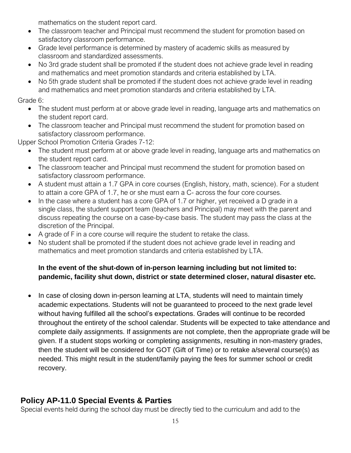mathematics on the student report card.

- The classroom teacher and Principal must recommend the student for promotion based on satisfactory classroom performance.
- Grade level performance is determined by mastery of academic skills as measured by classroom and standardized assessments.
- No 3rd grade student shall be promoted if the student does not achieve grade level in reading and mathematics and meet promotion standards and criteria established by LTA.
- No 5th grade student shall be promoted if the student does not achieve grade level in reading and mathematics and meet promotion standards and criteria established by LTA.

Grade 6:

- The student must perform at or above grade level in reading, language arts and mathematics on the student report card.
- The classroom teacher and Principal must recommend the student for promotion based on satisfactory classroom performance.

Upper School Promotion Criteria Grades 7-12:

- The student must perform at or above grade level in reading, language arts and mathematics on the student report card.
- The classroom teacher and Principal must recommend the student for promotion based on satisfactory classroom performance.
- A student must attain a 1.7 GPA in core courses (English, history, math, science). For a student to attain a core GPA of 1.7, he or she must earn a C- across the four core courses.
- In the case where a student has a core GPA of 1.7 or higher, yet received a D grade in a single class, the student support team (teachers and Principal) may meet with the parent and discuss repeating the course on a case-by-case basis. The student may pass the class at the discretion of the Principal.
- A grade of F in a core course will require the student to retake the class.
- No student shall be promoted if the student does not achieve grade level in reading and mathematics and meet promotion standards and criteria established by LTA.

#### **In the event of the shut-down of in-person learning including but not limited to: pandemic, facility shut down, district or state determined closer, natural disaster etc.**

• In case of closing down in-person learning at LTA, students will need to maintain timely academic expectations. Students will not be guaranteed to proceed to the next grade level without having fulfilled all the school's expectations. Grades will continue to be recorded throughout the entirety of the school calendar. Students will be expected to take attendance and complete daily assignments. If assignments are not complete, then the appropriate grade will be given. If a student stops working or completing assignments, resulting in non-mastery grades, then the student will be considered for GOT (Gift of Time) or to retake a/several course(s) as needed. This might result in the student/family paying the fees for summer school or credit recovery.

# **Policy AP-11.0 Special Events & Parties**

Special events held during the school day must be directly tied to the curriculum and add to the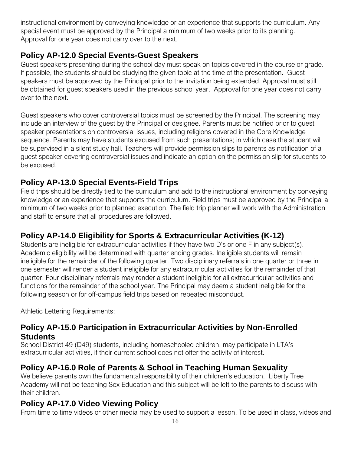instructional environment by conveying knowledge or an experience that supports the curriculum. Any special event must be approved by the Principal a minimum of two weeks prior to its planning. Approval for one year does not carry over to the next.

# **Policy AP-12.0 Special Events-Guest Speakers**

Guest speakers presenting during the school day must speak on topics covered in the course or grade. If possible, the students should be studying the given topic at the time of the presentation. Guest speakers must be approved by the Principal prior to the invitation being extended. Approval must still be obtained for guest speakers used in the previous school year. Approval for one year does not carry over to the next.

Guest speakers who cover controversial topics must be screened by the Principal. The screening may include an interview of the guest by the Principal or designee. Parents must be notified prior to guest speaker presentations on controversial issues, including religions covered in the Core Knowledge sequence. Parents may have students excused from such presentations; in which case the student will be supervised in a silent study hall. Teachers will provide permission slips to parents as notification of a guest speaker covering controversial issues and indicate an option on the permission slip for students to be excused.

## **Policy AP-13.0 Special Events-Field Trips**

Field trips should be directly tied to the curriculum and add to the instructional environment by conveying knowledge or an experience that supports the curriculum. Field trips must be approved by the Principal a minimum of two weeks prior to planned execution. The field trip planner will work with the Administration and staff to ensure that all procedures are followed.

# **Policy AP-14.0 Eligibility for Sports & Extracurricular Activities (K-12)**

Students are ineligible for extracurricular activities if they have two D's or one F in any subject(s). Academic eligibility will be determined with quarter ending grades. Ineligible students will remain ineligible for the remainder of the following quarter. Two disciplinary referrals in one quarter or three in one semester will render a student ineligible for any extracurricular activities for the remainder of that quarter. Four disciplinary referrals may render a student ineligible for all extracurricular activities and functions for the remainder of the school year. The Principal may deem a student ineligible for the following season or for off-campus field trips based on repeated misconduct.

Athletic Lettering Requirements:

#### **Policy AP-15.0 Participation in Extracurricular Activities by Non-Enrolled Students**

School District 49 (D49) students, including homeschooled children, may participate in LTA's extracurricular activities, if their current school does not offer the activity of interest.

# **Policy AP-16.0 Role of Parents & School in Teaching Human Sexuality**

We believe parents own the fundamental responsibility of their children's education. Liberty Tree Academy will not be teaching Sex Education and this subject will be left to the parents to discuss with their children.

# **Policy AP-17.0 Video Viewing Policy**

From time to time videos or other media may be used to support a lesson. To be used in class, videos and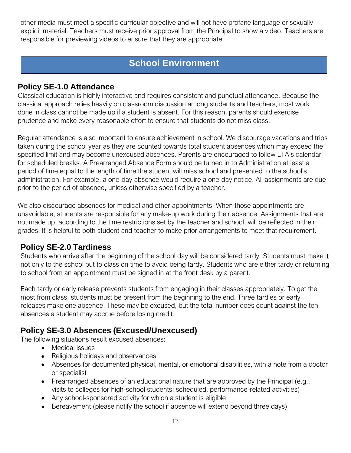other media must meet a specific curricular objective and will not have profane language or sexually explicit material. Teachers must receive prior approval from the Principal to show a video. Teachers are responsible for previewing videos to ensure that they are appropriate.

# **School Environment**

#### **Policy SE-1.0 Attendance**

Classical education is highly interactive and requires consistent and punctual attendance. Because the classical approach relies heavily on classroom discussion among students and teachers, most work done in class cannot be made up if a student is absent. For this reason, parents should exercise prudence and make every reasonable effort to ensure that students do not miss class.

Regular attendance is also important to ensure achievement in school. We discourage vacations and trips taken during the school year as they are counted towards total student absences which may exceed the specified limit and may become unexcused absences. Parents are encouraged to follow LTA's calendar for scheduled breaks. A Prearranged Absence Form should be turned in to Administration at least a period of time equal to the length of time the student will miss school and presented to the school's administration. For example, a one-day absence would require a one-day notice. All assignments are due prior to the period of absence, unless otherwise specified by a teacher.

We also discourage absences for medical and other appointments. When those appointments are unavoidable, students are responsible for any make-up work during their absence. Assignments that are not made up, according to the time restrictions set by the teacher and school, will be reflected in their grades. It is helpful to both student and teacher to make prior arrangements to meet that requirement.

## **Policy SE-2.0 Tardiness**

Students who arrive after the beginning of the school day will be considered tardy. Students must make it not only to the school but to class on time to avoid being tardy. Students who are either tardy or returning to school from an appointment must be signed in at the front desk by a parent.

Each tardy or early release prevents students from engaging in their classes appropriately. To get the most from class, students must be present from the beginning to the end. Three tardies or early releases make one absence. These may be excused, but the total number does count against the ten absences a student may accrue before losing credit.

## **Policy SE-3.0 Absences (Excused/Unexcused)**

The following situations result excused absences:

- Medical issues
- Religious holidays and observances
- Absences for documented physical, mental, or emotional disabilities, with a note from a doctor or specialist
- Prearranged absences of an educational nature that are approved by the Principal (e.g., visits to colleges for high-school students; scheduled, performance-related activities)
- Any school-sponsored activity for which a student is eligible
- Bereavement (please notify the school if absence will extend beyond three days)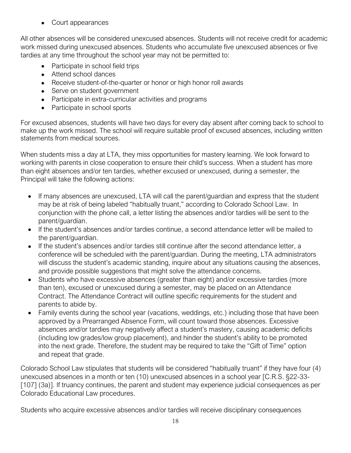• Court appearances

All other absences will be considered unexcused absences. Students will not receive credit for academic work missed during unexcused absences. Students who accumulate five unexcused absences or five tardies at any time throughout the school year may not be permitted to:

- Participate in school field trips
- Attend school dances
- Receive student-of-the-quarter or honor or high honor roll awards
- Serve on student government
- Participate in extra-curricular activities and programs
- Participate in school sports

For excused absences, students will have two days for every day absent after coming back to school to make up the work missed. The school will require suitable proof of excused absences, including written statements from medical sources.

When students miss a day at LTA, they miss opportunities for mastery learning. We look forward to working with parents in close cooperation to ensure their child's success. When a student has more than eight absences and/or ten tardies, whether excused or unexcused, during a semester, the Principal will take the following actions:

- If many absences are unexcused, LTA will call the parent/guardian and express that the student may be at risk of being labeled "habitually truant," according to Colorado School Law. In conjunction with the phone call, a letter listing the absences and/or tardies will be sent to the parent/guardian.
- If the student's absences and/or tardies continue, a second attendance letter will be mailed to the parent/guardian.
- If the student's absences and/or tardies still continue after the second attendance letter, a conference will be scheduled with the parent/guardian. During the meeting, LTA administrators will discuss the student's academic standing, inquire about any situations causing the absences, and provide possible suggestions that might solve the attendance concerns.
- Students who have excessive absences (greater than eight) and/or excessive tardies (more than ten), excused or unexcused during a semester, may be placed on an Attendance Contract. The Attendance Contract will outline specific requirements for the student and parents to abide by.
- Family events during the school year (vacations, weddings, etc.) including those that have been approved by a Prearranged Absence Form, will count toward those absences. Excessive absences and/or tardies may negatively affect a student's mastery, causing academic deficits (including low grades/low group placement), and hinder the student's ability to be promoted into the next grade. Therefore, the student may be required to take the "Gift of Time" option and repeat that grade.

Colorado School Law stipulates that students will be considered "habitually truant" if they have four (4) unexcused absences in a month or ten (10) unexcused absences in a school year [C.R.S. §22-33- [107] (3a)]. If truancy continues, the parent and student may experience judicial consequences as per Colorado Educational Law procedures.

Students who acquire excessive absences and/or tardies will receive disciplinary consequences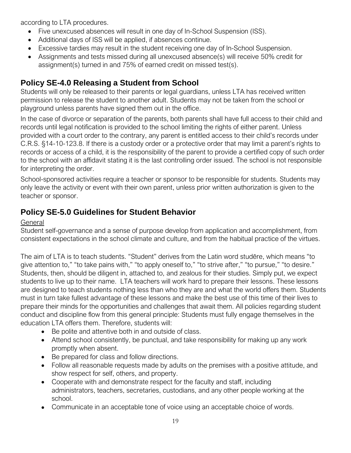according to LTA procedures.

- Five unexcused absences will result in one day of In-School Suspension (ISS).
- Additional days of ISS will be applied, if absences continue.
- Excessive tardies may result in the student receiving one day of In-School Suspension.
- Assignments and tests missed during all unexcused absence(s) will receive 50% credit for assignment(s) turned in and 75% of earned credit on missed test(s).

# **Policy SE-4.0 Releasing a Student from School**

Students will only be released to their parents or legal guardians, unless LTA has received written permission to release the student to another adult. Students may not be taken from the school or playground unless parents have signed them out in the office.

In the case of divorce or separation of the parents, both parents shall have full access to their child and records until legal notification is provided to the school limiting the rights of either parent. Unless provided with a court order to the contrary, any parent is entitled access to their child's records under C.R.S. §14-10-123.8. If there is a custody order or a protective order that may limit a parent's rights to records or access of a child, it is the responsibility of the parent to provide a certified copy of such order to the school with an affidavit stating it is the last controlling order issued. The school is not responsible for interpreting the order.

School-sponsored activities require a teacher or sponsor to be responsible for students. Students may only leave the activity or event with their own parent, unless prior written authorization is given to the teacher or sponsor.

# **Policy SE-5.0 Guidelines for Student Behavior**

#### **General**

Student self-governance and a sense of purpose develop from application and accomplishment, from consistent expectations in the school climate and culture, and from the habitual practice of the virtues.

The aim of LTA is to teach students. "Student" derives from the Latin word studēre, which means "to give attention to," "to take pains with," "to apply oneself to," "to strive after," "to pursue," "to desire." Students, then, should be diligent in, attached to, and zealous for their studies. Simply put, we expect students to live up to their name. LTA teachers will work hard to prepare their lessons. These lessons are designed to teach students nothing less than who they are and what the world offers them. Students must in turn take fullest advantage of these lessons and make the best use of this time of their lives to prepare their minds for the opportunities and challenges that await them. All policies regarding student conduct and discipline flow from this general principle: Students must fully engage themselves in the education LTA offers them. Therefore, students will:

- Be polite and attentive both in and outside of class.
- Attend school consistently, be punctual, and take responsibility for making up any work promptly when absent.
- Be prepared for class and follow directions.
- Follow all reasonable requests made by adults on the premises with a positive attitude, and show respect for self, others, and property.
- Cooperate with and demonstrate respect for the faculty and staff, including administrators, teachers, secretaries, custodians, and any other people working at the school.
- Communicate in an acceptable tone of voice using an acceptable choice of words.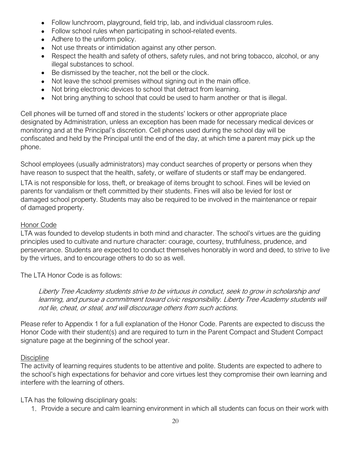- Follow lunchroom, playground, field trip, lab, and individual classroom rules.
- Follow school rules when participating in school-related events.
- Adhere to the uniform policy.
- Not use threats or intimidation against any other person.
- Respect the health and safety of others, safety rules, and not bring tobacco, alcohol, or any illegal substances to school.
- Be dismissed by the teacher, not the bell or the clock.
- Not leave the school premises without signing out in the main office.
- Not bring electronic devices to school that detract from learning.
- Not bring anything to school that could be used to harm another or that is illegal.

Cell phones will be turned off and stored in the students' lockers or other appropriate place designated by Administration, unless an exception has been made for necessary medical devices or monitoring and at the Principal's discretion. Cell phones used during the school day will be confiscated and held by the Principal until the end of the day, at which time a parent may pick up the phone.

School employees (usually administrators) may conduct searches of property or persons when they have reason to suspect that the health, safety, or welfare of students or staff may be endangered.

LTA is not responsible for loss, theft, or breakage of items brought to school. Fines will be levied on parents for vandalism or theft committed by their students. Fines will also be levied for lost or damaged school property. Students may also be required to be involved in the maintenance or repair of damaged property.

#### Honor Code

LTA was founded to develop students in both mind and character. The school's virtues are the guiding principles used to cultivate and nurture character: courage, courtesy, truthfulness, prudence, and perseverance. Students are expected to conduct themselves honorably in word and deed, to strive to live by the virtues, and to encourage others to do so as well.

The LTA Honor Code is as follows:

Liberty Tree Academy students strive to be virtuous in conduct, seek to grow in scholarship and learning, and pursue a commitment toward civic responsibility. Liberty Tree Academy students will not lie, cheat, or steal, and will discourage others from such actions.

Please refer to Appendix 1 for a full explanation of the Honor Code. Parents are expected to discuss the Honor Code with their student(s) and are required to turn in the Parent Compact and Student Compact signature page at the beginning of the school year.

#### **Discipline**

The activity of learning requires students to be attentive and polite. Students are expected to adhere to the school's high expectations for behavior and core virtues lest they compromise their own learning and interfere with the learning of others.

LTA has the following disciplinary goals:

1. Provide a secure and calm learning environment in which all students can focus on their work with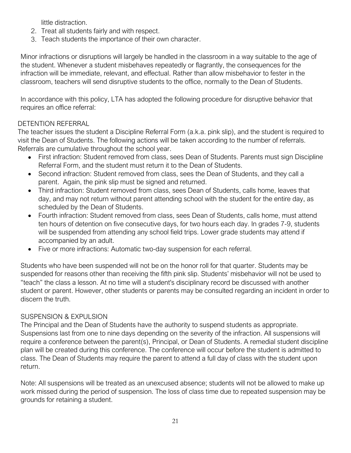little distraction.

- 2. Treat all students fairly and with respect.
- 3. Teach students the importance of their own character.

Minor infractions or disruptions will largely be handled in the classroom in a way suitable to the age of the student. Whenever a student misbehaves repeatedly or flagrantly, the consequences for the infraction will be immediate, relevant, and effectual. Rather than allow misbehavior to fester in the classroom, teachers will send disruptive students to the office, normally to the Dean of Students.

In accordance with this policy, LTA has adopted the following procedure for disruptive behavior that requires an office referral:

#### DETENTION REFERRAL

The teacher issues the student a Discipline Referral Form (a.k.a. pink slip), and the student is required to visit the Dean of Students. The following actions will be taken according to the number of referrals. Referrals are cumulative throughout the school year.

- First infraction: Student removed from class, sees Dean of Students. Parents must sign Discipline Referral Form, and the student must return it to the Dean of Students.
- Second infraction: Student removed from class, sees the Dean of Students, and they call a parent. Again, the pink slip must be signed and returned.
- Third infraction: Student removed from class, sees Dean of Students, calls home, leaves that day, and may not return without parent attending school with the student for the entire day, as scheduled by the Dean of Students.
- Fourth infraction: Student removed from class, sees Dean of Students, calls home, must attend ten hours of detention on five consecutive days, for two hours each day. In grades 7-9, students will be suspended from attending any school field trips. Lower grade students may attend if accompanied by an adult.
- Five or more infractions: Automatic two-day suspension for each referral.

Students who have been suspended will not be on the honor roll for that quarter. Students may be suspended for reasons other than receiving the fifth pink slip. Students' misbehavior will not be used to "teach" the class a lesson. At no time will a student's disciplinary record be discussed with another student or parent. However, other students or parents may be consulted regarding an incident in order to discern the truth.

#### SUSPENSION & EXPULSION

The Principal and the Dean of Students have the authority to suspend students as appropriate. Suspensions last from one to nine days depending on the severity of the infraction. All suspensions will require a conference between the parent(s), Principal, or Dean of Students. A remedial student discipline plan will be created during this conference. The conference will occur before the student is admitted to class. The Dean of Students may require the parent to attend a full day of class with the student upon return.

Note: All suspensions will be treated as an unexcused absence; students will not be allowed to make up work missed during the period of suspension. The loss of class time due to repeated suspension may be grounds for retaining a student.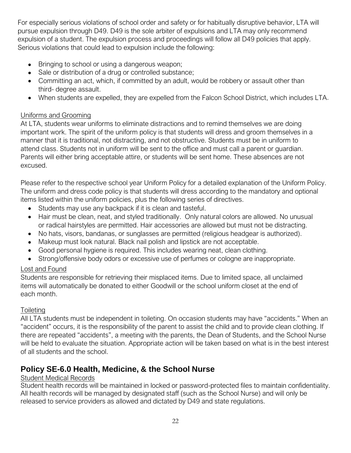For especially serious violations of school order and safety or for habitually disruptive behavior, LTA will pursue expulsion through D49. D49 is the sole arbiter of expulsions and LTA may only recommend expulsion of a student. The expulsion process and proceedings will follow all D49 policies that apply. Serious violations that could lead to expulsion include the following:

- Bringing to school or using a dangerous weapon;
- Sale or distribution of a drug or controlled substance;
- Committing an act, which, if committed by an adult, would be robbery or assault other than third- degree assault.
- When students are expelled, they are expelled from the Falcon School District, which includes LTA.

#### Uniforms and Grooming

At LTA, students wear uniforms to eliminate distractions and to remind themselves we are doing important work. The spirit of the uniform policy is that students will dress and groom themselves in a manner that it is traditional, not distracting, and not obstructive. Students must be in uniform to attend class. Students not in uniform will be sent to the office and must call a parent or guardian. Parents will either bring acceptable attire, or students will be sent home. These absences are not excused.

Please refer to the respective school year Uniform Policy for a detailed explanation of the Uniform Policy. The uniform and dress code policy is that students will dress according to the mandatory and optional items listed within the uniform policies, plus the following series of directives.

- Students may use any backpack if it is clean and tasteful.
- Hair must be clean, neat, and styled traditionally. Only natural colors are allowed. No unusual or radical hairstyles are permitted. Hair accessories are allowed but must not be distracting.
- No hats, visors, bandanas, or sunglasses are permitted (religious headgear is authorized).
- Makeup must look natural. Black nail polish and lipstick are not acceptable.
- Good personal hygiene is required. This includes wearing neat, clean clothing.
- Strong/offensive body odors or excessive use of perfumes or cologne are inappropriate.

#### Lost and Found

Students are responsible for retrieving their misplaced items. Due to limited space, all unclaimed items will automatically be donated to either Goodwill or the school uniform closet at the end of each month.

#### **Toileting**

All LTA students must be independent in toileting. On occasion students may have "accidents." When an "accident" occurs, it is the responsibility of the parent to assist the child and to provide clean clothing. If there are repeated "accidents", a meeting with the parents, the Dean of Students, and the School Nurse will be held to evaluate the situation. Appropriate action will be taken based on what is in the best interest of all students and the school.

# **Policy SE-6.0 Health, Medicine, & the School Nurse**

#### Student Medical Records

Student health records will be maintained in locked or password-protected files to maintain confidentiality. All health records will be managed by designated staff (such as the School Nurse) and will only be released to service providers as allowed and dictated by D49 and state regulations.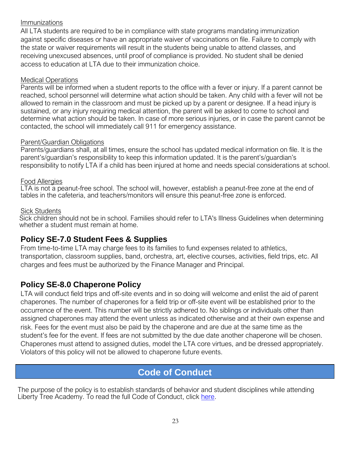#### **Immunizations**

All LTA students are required to be in compliance with state programs mandating immunization against specific diseases or have an appropriate waiver of vaccinations on file. Failure to comply with the state or waiver requirements will result in the students being unable to attend classes, and receiving unexcused absences, until proof of compliance is provided. No student shall be denied access to education at LTA due to their immunization choice.

#### Medical Operations

Parents will be informed when a student reports to the office with a fever or injury. If a parent cannot be reached, school personnel will determine what action should be taken. Any child with a fever will not be allowed to remain in the classroom and must be picked up by a parent or designee. If a head injury is sustained, or any injury requiring medical attention, the parent will be asked to come to school and determine what action should be taken. In case of more serious injuries, or in case the parent cannot be contacted, the school will immediately call 911 for emergency assistance.

#### Parent/Guardian Obligations

Parents/guardians shall, at all times, ensure the school has updated medical information on file. It is the parent's/guardian's responsibility to keep this information updated. It is the parent's/guardian's responsibility to notify LTA if a child has been injured at home and needs special considerations at school.

#### Food Allergies

LTA is not a peanut-free school. The school will, however, establish a peanut-free zone at the end of tables in the cafeteria, and teachers/monitors will ensure this peanut-free zone is enforced.

#### Sick Students

Sick children should not be in school. Families should refer to LTA's Illness Guidelines when determining whether a student must remain at home.

#### **Policy SE-7.0 Student Fees & Supplies**

From time-to-time LTA may charge fees to its families to fund expenses related to athletics, transportation, classroom supplies, band, orchestra, art, elective courses, activities, field trips, etc. All charges and fees must be authorized by the Finance Manager and Principal.

## **Policy SE-8.0 Chaperone Policy**

LTA will conduct field trips and off-site events and in so doing will welcome and enlist the aid of parent chaperones. The number of chaperones for a field trip or off-site event will be established prior to the occurrence of the event. This number will be strictly adhered to. No siblings or individuals other than assigned chaperones may attend the event unless as indicated otherwise and at their own expense and risk. Fees for the event must also be paid by the chaperone and are due at the same time as the student's fee for the event. If fees are not submitted by the due date another chaperone will be chosen. Chaperones must attend to assigned duties, model the LTA core virtues, and be dressed appropriately. Violators of this policy will not be allowed to chaperone future events.

# **Code of Conduct**

The purpose of the policy is to establish standards of behavior and student disciplines while attending Liberty Tree Academy. To read the full Code of Conduct, click [here.](https://ltaeagles.org/wp-content/uploads/2022/02/2021-2022-LTA-Code-of-Conduct-Policies-2.pdf)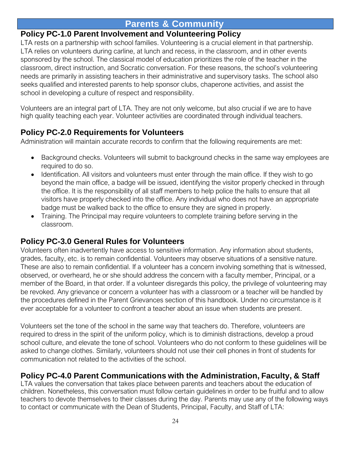# **Parents & Community**

#### **Policy PC-1.0 Parent Involvement and Volunteering Policy**

LTA rests on a partnership with school families. Volunteering is a crucial element in that partnership. LTA relies on volunteers during carline, at lunch and recess, in the classroom, and in other events sponsored by the school. The classical model of education prioritizes the role of the teacher in the classroom, direct instruction, and Socratic conversation. For these reasons, the school's volunteering needs are primarily in assisting teachers in their administrative and supervisory tasks. The school also seeks qualified and interested parents to help sponsor clubs, chaperone activities, and assist the school in developing a culture of respect and responsibility.

Volunteers are an integral part of LTA. They are not only welcome, but also crucial if we are to have high quality teaching each year. Volunteer activities are coordinated through individual teachers.

## **Policy PC-2.0 Requirements for Volunteers**

Administration will maintain accurate records to confirm that the following requirements are met:

- Background checks. Volunteers will submit to background checks in the same way employees are required to do so.
- Identification. All visitors and volunteers must enter through the main office. If they wish to go beyond the main office, a badge will be issued, identifying the visitor properly checked in through the office. It is the responsibility of all staff members to help police the halls to ensure that all visitors have properly checked into the office. Any individual who does not have an appropriate badge must be walked back to the office to ensure they are signed in properly.
- Training. The Principal may require volunteers to complete training before serving in the classroom.

## **Policy PC-3.0 General Rules for Volunteers**

Volunteers often inadvertently have access to sensitive information. Any information about students, grades, faculty, etc. is to remain confidential. Volunteers may observe situations of a sensitive nature. These are also to remain confidential. If a volunteer has a concern involving something that is witnessed, observed, or overheard, he or she should address the concern with a faculty member, Principal, or a member of the Board, in that order. If a volunteer disregards this policy, the privilege of volunteering may be revoked. Any grievance or concern a volunteer has with a classroom or a teacher will be handled by the procedures defined in the Parent Grievances section of this handbook. Under no circumstance is it ever acceptable for a volunteer to confront a teacher about an issue when students are present.

Volunteers set the tone of the school in the same way that teachers do. Therefore, volunteers are required to dress in the spirit of the uniform policy, which is to diminish distractions, develop a proud school culture, and elevate the tone of school. Volunteers who do not conform to these guidelines will be asked to change clothes. Similarly, volunteers should not use their cell phones in front of students for communication not related to the activities of the school.

## **Policy PC-4.0 Parent Communications with the Administration, Faculty, & Staff**

LTA values the conversation that takes place between parents and teachers about the education of children. Nonetheless, this conversation must follow certain guidelines in order to be fruitful and to allow teachers to devote themselves to their classes during the day. Parents may use any of the following ways to contact or communicate with the Dean of Students, Principal, Faculty, and Staff of LTA: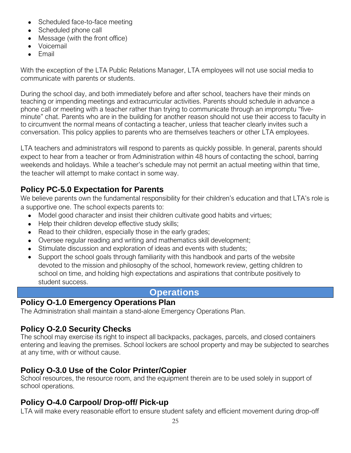- Scheduled face-to-face meeting
- Scheduled phone call
- Message (with the front office)
- Voicemail
- Email

With the exception of the LTA Public Relations Manager, LTA employees will not use social media to communicate with parents or students.

During the school day, and both immediately before and after school, teachers have their minds on teaching or impending meetings and extracurricular activities. Parents should schedule in advance a phone call or meeting with a teacher rather than trying to communicate through an impromptu "fiveminute" chat. Parents who are in the building for another reason should not use their access to faculty in to circumvent the normal means of contacting a teacher, unless that teacher clearly invites such a conversation. This policy applies to parents who are themselves teachers or other LTA employees.

LTA teachers and administrators will respond to parents as quickly possible. In general, parents should expect to hear from a teacher or from Administration within 48 hours of contacting the school, barring weekends and holidays. While a teacher's schedule may not permit an actual meeting within that time, the teacher will attempt to make contact in some way.

# **Policy PC-5.0 Expectation for Parents**

We believe parents own the fundamental responsibility for their children's education and that LTA's role is a supportive one. The school expects parents to:

- Model good character and insist their children cultivate good habits and virtues;
- Help their children develop effective study skills;
- Read to their children, especially those in the early grades;
- Oversee regular reading and writing and mathematics skill development;
- Stimulate discussion and exploration of ideas and events with students;
- Support the school goals through familiarity with this handbook and parts of the website devoted to the mission and philosophy of the school, homework review, getting children to school on time, and holding high expectations and aspirations that contribute positively to student success.

# **Operations**

#### **Policy O-1.0 Emergency Operations Plan**

The Administration shall maintain a stand-alone Emergency Operations Plan.

#### **Policy O-2.0 Security Checks**

The school may exercise its right to inspect all backpacks, packages, parcels, and closed containers entering and leaving the premises. School lockers are school property and may be subjected to searches at any time, with or without cause.

## **Policy O-3.0 Use of the Color Printer/Copier**

School resources, the resource room, and the equipment therein are to be used solely in support of school operations.

# **Policy O-4.0 Carpool/ Drop-off/ Pick-up**

LTA will make every reasonable effort to ensure student safety and efficient movement during drop-off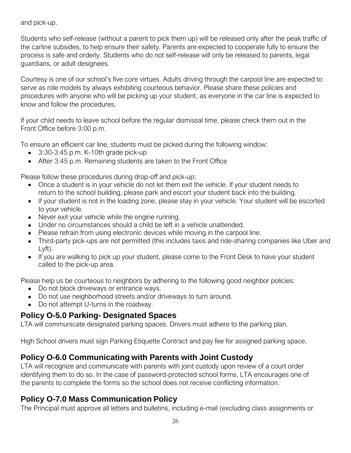and pick-up.

Students who self-release (without a parent to pick them up) will be released only after the peak traffic of the carline subsides, to help ensure their safety. Parents are expected to cooperate fully to ensure the process is safe and orderly. Students who do not self-release will only be released to parents, legal guardians, or adult designees.

Courtesy is one of our school's five core virtues. Adults driving through the carpool line are expected to serve as role models by always exhibiting courteous behavior. Please share these policies and procedures with anyone who will be picking up your student, as everyone in the car line is expected to know and follow the procedures.

If your child needs to leave school before the regular dismissal time, please check them out in the Front Office before 3:00 p.m.

To ensure an efficient car line, students must be picked during the following window:

- 3:30-3:45 p.m. K-10th grade pick-up
- After 3:45 p.m. Remaining students are taken to the Front Office

Please follow these procedures during drop-off and pick-up:

- Once a student is in your vehicle do not let them exit the vehicle. If your student needs to return to the school building, please park and escort your student back into the building.
- If your student is not in the loading zone, please stay in your vehicle. Your student will be escorted to your vehicle.
- Never exit your vehicle while the engine running.
- Under no circumstances should a child be left in a vehicle unattended.
- Please refrain from using electronic devices while moving in the carpool line.
- Third-party pick-ups are not permitted (this includes taxis and ride-sharing companies like Uber and Lyft).
- If you are walking to pick up your student, please come to the Front Desk to have your student called to the pick-up area.

Please help us be courteous to neighbors by adhering to the following good neighbor policies:

- Do not block driveways or entrance ways.
- Do not use neighborhood streets and/or driveways to turn around.
- Do not attempt U-turns in the roadway.

## **Policy O-5.0 Parking- Designated Spaces**

LTA will communicate designated parking spaces. Drivers must adhere to the parking plan.

High School drivers must sign Parking Etiquette Contract and pay fee for assigned parking space.

## **Policy O-6.0 Communicating with Parents with Joint Custody**

LTA will recognize and communicate with parents with joint custody upon review of a court order identifying them to do so. In the case of password-protected school forms, LTA encourages one of the parents to complete the forms so the school does not receive conflicting information.

# **Policy O-7.0 Mass Communication Policy**

The Principal must approve all letters and bulletins, including e-mail (excluding class assignments or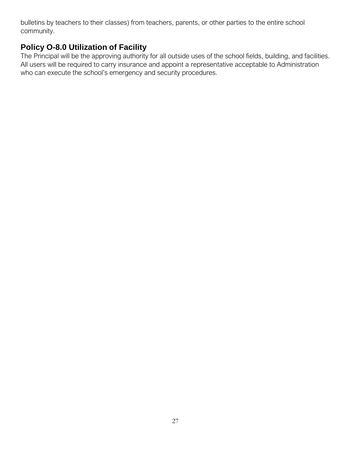bulletins by teachers to their classes) from teachers, parents, or other parties to the entire school community.

## **Policy O-8.0 Utilization of Facility**

The Principal will be the approving authority for all outside uses of the school fields, building, and facilities. All users will be required to carry insurance and appoint a representative acceptable to Administration who can execute the school's emergency and security procedures.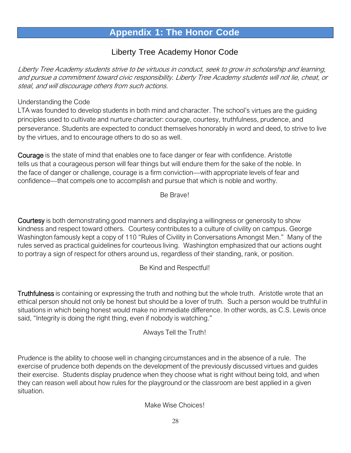# **Appendix 1: The Honor Code**

## Liberty Tree Academy Honor Code

Liberty Tree Academy students strive to be virtuous in conduct, seek to grow in scholarship and learning, and pursue a commitment toward civic responsibility. Liberty Tree Academy students will not lie, cheat, or steal, and will discourage others from such actions.

Understanding the Code

LTA was founded to develop students in both mind and character. The school's virtues are the guiding principles used to cultivate and nurture character: courage, courtesy, truthfulness, prudence, and perseverance. Students are expected to conduct themselves honorably in word and deed, to strive to live by the virtues, and to encourage others to do so as well.

Courage is the state of mind that enables one to face danger or fear with confidence. Aristotle tells us that a courageous person will fear things but will endure them for the sake of the noble. In the face of danger or challenge, courage is a firm conviction—with appropriate levels of fear and confidence—that compels one to accomplish and pursue that which is noble and worthy.

#### Be Brave!

Courtesy is both demonstrating good manners and displaying a willingness or generosity to show kindness and respect toward others. Courtesy contributes to a culture of civility on campus. George Washington famously kept a copy of 110 "Rules of Civility in Conversations Amongst Men." Many of the rules served as practical guidelines for courteous living. Washington emphasized that our actions ought to portray a sign of respect for others around us, regardless of their standing, rank, or position.

Be Kind and Respectful!

Truthfulness is containing or expressing the truth and nothing but the whole truth. Aristotle wrote that an ethical person should not only be honest but should be a lover of truth. Such a person would be truthful in situations in which being honest would make no immediate difference. In other words, as C.S. Lewis once said, "Integrity is doing the right thing, even if nobody is watching."

Always Tell the Truth!

Prudence is the ability to choose well in changing circumstances and in the absence of a rule. The exercise of prudence both depends on the development of the previously discussed virtues and guides their exercise. Students display prudence when they choose what is right without being told, and when they can reason well about how rules for the playground or the classroom are best applied in a given situation.

Make Wise Choices!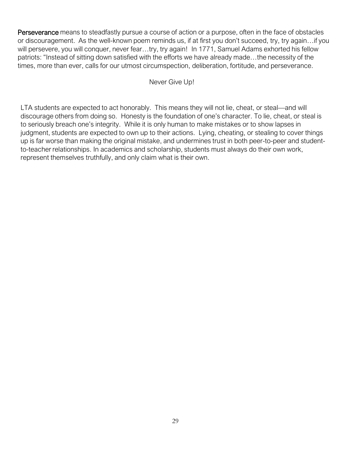Perseverance means to steadfastly pursue a course of action or a purpose, often in the face of obstacles or discouragement. As the well-known poem reminds us, if at first you don't succeed, try, try again…if you will persevere, you will conquer, never fear...try, try again! In 1771, Samuel Adams exhorted his fellow patriots: "Instead of sitting down satisfied with the efforts we have already made…the necessity of the times, more than ever, calls for our utmost circumspection, deliberation, fortitude, and perseverance.

Never Give Up!

LTA students are expected to act honorably. This means they will not lie, cheat, or steal—and will discourage others from doing so. Honesty is the foundation of one's character. To lie, cheat, or steal is to seriously breach one's integrity. While it is only human to make mistakes or to show lapses in judgment, students are expected to own up to their actions. Lying, cheating, or stealing to cover things up is far worse than making the original mistake, and undermines trust in both peer-to-peer and studentto-teacher relationships. In academics and scholarship, students must always do their own work, represent themselves truthfully, and only claim what is their own.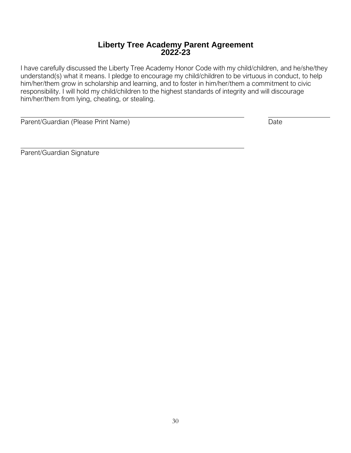#### **Liberty Tree Academy Parent Agreement 2022-23**

I have carefully discussed the Liberty Tree Academy Honor Code with my child/children, and he/she/they understand(s) what it means. I pledge to encourage my child/children to be virtuous in conduct, to help him/her/them grow in scholarship and learning, and to foster in him/her/them a commitment to civic responsibility. I will hold my child/children to the highest standards of integrity and will discourage him/her/them from lying, cheating, or stealing.

Parent/Guardian (Please Print Name) Date

Parent/Guardian Signature